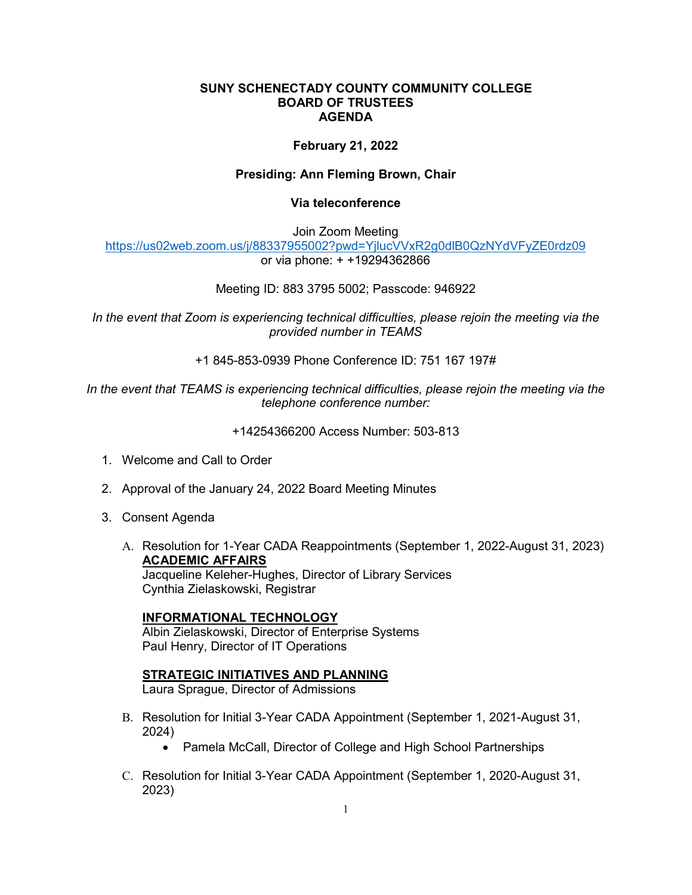#### **SUNY SCHENECTADY COUNTY COMMUNITY COLLEGE BOARD OF TRUSTEES AGENDA**

# **February 21, 2022**

# **Presiding: Ann Fleming Brown, Chair**

#### **Via teleconference**

Join Zoom Meeting

<https://us02web.zoom.us/j/88337955002?pwd=YjlucVVxR2g0dlB0QzNYdVFyZE0rdz09> or via phone: + +19294362866

## Meeting ID: 883 3795 5002; Passcode: 946922

*In the event that Zoom is experiencing technical difficulties, please rejoin the meeting via the provided number in TEAMS* 

+1 845-853-0939 Phone Conference ID: 751 167 197#

*In the event that TEAMS is experiencing technical difficulties, please rejoin the meeting via the telephone conference number:* 

+14254366200 Access Number: 503-813

- 1. Welcome and Call to Order
- 2. Approval of the January 24, 2022 Board Meeting Minutes
- 3. Consent Agenda
	- A. Resolution for 1-Year CADA Reappointments (September 1, 2022-August 31, 2023) **ACADEMIC AFFAIRS**

Jacqueline Keleher-Hughes, Director of Library Services Cynthia Zielaskowski, Registrar

## **INFORMATIONAL TECHNOLOGY**

Albin Zielaskowski, Director of Enterprise Systems Paul Henry, Director of IT Operations

## **STRATEGIC INITIATIVES AND PLANNING**

Laura Sprague, Director of Admissions

- B. Resolution for Initial 3-Year CADA Appointment (September 1, 2021-August 31, 2024)
	- Pamela McCall, Director of College and High School Partnerships
- C. Resolution for Initial 3-Year CADA Appointment (September 1, 2020-August 31, 2023)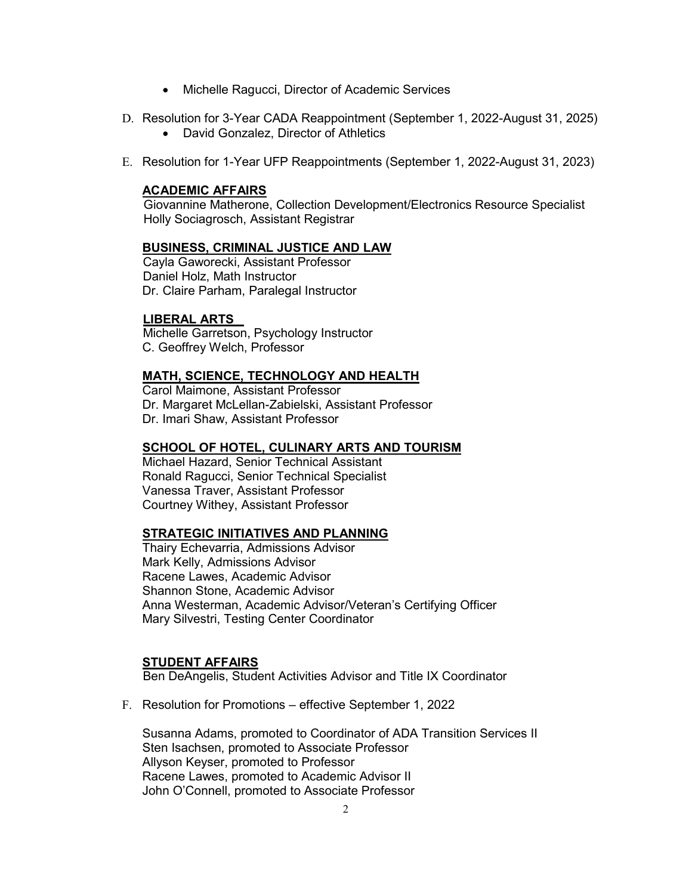- Michelle Ragucci, Director of Academic Services
- D. Resolution for 3-Year CADA Reappointment (September 1, 2022-August 31, 2025)
	- David Gonzalez, Director of Athletics
- E. Resolution for 1-Year UFP Reappointments (September 1, 2022-August 31, 2023)

# **ACADEMIC AFFAIRS**

Giovannine Matherone, Collection Development/Electronics Resource Specialist Holly Sociagrosch, Assistant Registrar

# **BUSINESS, CRIMINAL JUSTICE AND LAW**

Cayla Gaworecki, Assistant Professor Daniel Holz, Math Instructor Dr. Claire Parham, Paralegal Instructor

# **LIBERAL ARTS**

Michelle Garretson, Psychology Instructor C. Geoffrey Welch, Professor

# **MATH, SCIENCE, TECHNOLOGY AND HEALTH**

Carol Maimone, Assistant Professor Dr. Margaret McLellan-Zabielski, Assistant Professor Dr. Imari Shaw, Assistant Professor

# **SCHOOL OF HOTEL, CULINARY ARTS AND TOURISM**

Michael Hazard, Senior Technical Assistant Ronald Ragucci, Senior Technical Specialist Vanessa Traver, Assistant Professor Courtney Withey, Assistant Professor

## **STRATEGIC INITIATIVES AND PLANNING**

Thairy Echevarria, Admissions Advisor Mark Kelly, Admissions Advisor Racene Lawes, Academic Advisor Shannon Stone, Academic Advisor Anna Westerman, Academic Advisor/Veteran's Certifying Officer Mary Silvestri, Testing Center Coordinator

## **STUDENT AFFAIRS**

Ben DeAngelis, Student Activities Advisor and Title IX Coordinator

F. Resolution for Promotions – effective September 1, 2022

Susanna Adams, promoted to Coordinator of ADA Transition Services II Sten Isachsen, promoted to Associate Professor Allyson Keyser, promoted to Professor Racene Lawes, promoted to Academic Advisor II John O'Connell, promoted to Associate Professor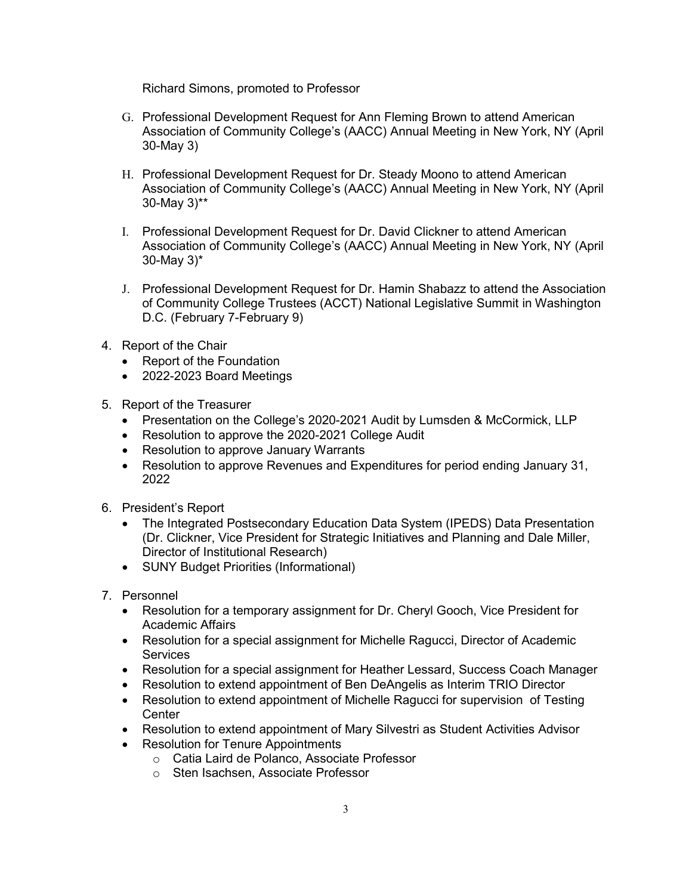Richard Simons, promoted to Professor

- G. Professional Development Request for Ann Fleming Brown to attend American Association of Community College's (AACC) Annual Meeting in New York, NY (April 30-May 3)
- H. Professional Development Request for Dr. Steady Moono to attend American Association of Community College's (AACC) Annual Meeting in New York, NY (April 30-May 3)\*\*
- I. Professional Development Request for Dr. David Clickner to attend American Association of Community College's (AACC) Annual Meeting in New York, NY (April 30-May 3)\*
- J. Professional Development Request for Dr. Hamin Shabazz to attend the Association of Community College Trustees (ACCT) National Legislative Summit in Washington D.C. (February 7-February 9)
- 4. Report of the Chair
	- Report of the Foundation
	- 2022-2023 Board Meetings
- 5. Report of the Treasurer
	- Presentation on the College's 2020-2021 Audit by Lumsden & McCormick, LLP
	- Resolution to approve the 2020-2021 College Audit
	- Resolution to approve January Warrants
	- Resolution to approve Revenues and Expenditures for period ending January 31, 2022
- 6. President's Report
	- • The Integrated Postsecondary Education Data System (IPEDS) Data Presentation (Dr. Clickner, Vice President for Strategic Initiatives and Planning and Dale Miller, Director of Institutional Research)
	- SUNY Budget Priorities (Informational)
- 7. Personnel
	- • Resolution for a temporary assignment for Dr. Cheryl Gooch, Vice President for Academic Affairs
	- • Resolution for a special assignment for Michelle Ragucci, Director of Academic **Services**
	- Resolution for a special assignment for Heather Lessard, Success Coach Manager
	- Resolution to extend appointment of Ben DeAngelis as Interim TRIO Director
	- Resolution to extend appointment of Michelle Ragucci for supervision of Testing **Center**
	- Resolution to extend appointment of Mary Silvestri as Student Activities Advisor
	- Resolution for Tenure Appointments
		- o Catia Laird de Polanco, Associate Professor
		- o Sten Isachsen, Associate Professor